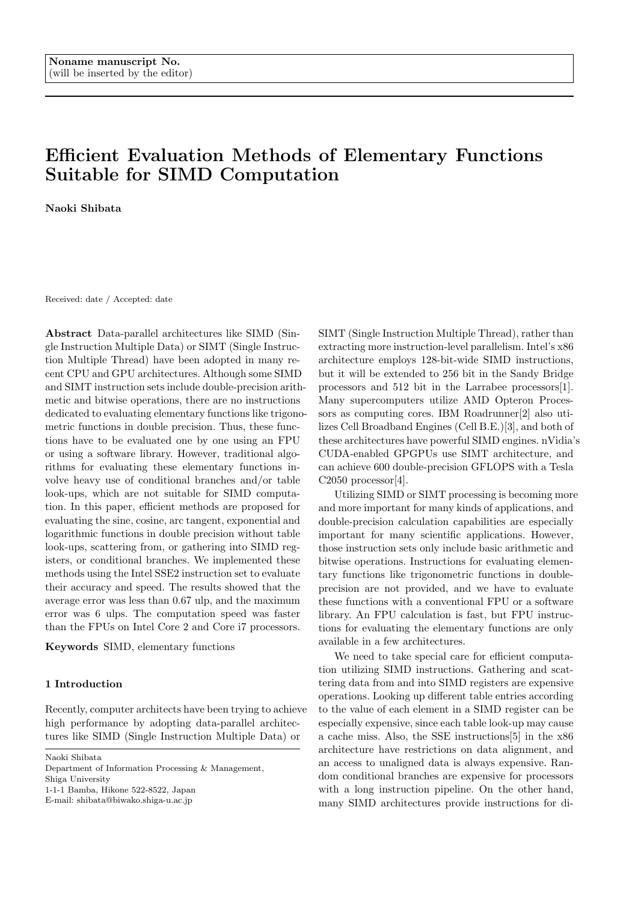# **Efficient Evaluation Methods of Elementary Functions Suitable for SIMD Computation**

**Naoki Shibata**

Received: date / Accepted: date

**Abstract** Data-parallel architectures like SIMD (Single Instruction Multiple Data) or SIMT (Single Instruction Multiple Thread) have been adopted in many recent CPU and GPU architectures. Although some SIMD and SIMT instruction sets include double-precision arithmetic and bitwise operations, there are no instructions dedicated to evaluating elementary functions like trigonometric functions in double precision. Thus, these functions have to be evaluated one by one using an FPU or using a software library. However, traditional algorithms for evaluating these elementary functions involve heavy use of conditional branches and/or table look-ups, which are not suitable for SIMD computation. In this paper, efficient methods are proposed for evaluating the sine, cosine, arc tangent, exponential and logarithmic functions in double precision without table look-ups, scattering from, or gathering into SIMD registers, or conditional branches. We implemented these methods using the Intel SSE2 instruction set to evaluate their accuracy and speed. The results showed that the average error was less than 0.67 ulp, and the maximum error was 6 ulps. The computation speed was faster than the FPUs on Intel Core 2 and Core i7 processors.

**Keywords** SIMD, elementary functions

# **1 Introduction**

Recently, computer architects have been trying to achieve high performance by adopting data-parallel architectures like SIMD (Single Instruction Multiple Data) or

Naoki Shibata

Department of Information Processing & Management,

Shiga University

1-1-1 Bamba, Hikone 522-8522, Japan

E-mail: shibata@biwako.shiga-u.ac.jp

SIMT (Single Instruction Multiple Thread), rather than extracting more instruction-level parallelism. Intel's x86 architecture employs 128-bit-wide SIMD instructions, but it will be extended to 256 bit in the Sandy Bridge processors and 512 bit in the Larrabee processors[1]. Many supercomputers utilize AMD Opteron Processors as computing cores. IBM Roadrunner[2] also utilizes Cell Broadband Engines (Cell B.E.)[3], and both of these architectures have powerful SIMD engines. nVi[dia](#page-7-0)'s CUDA-enabled GPGPUs use SIMT architecture, and can achieve 600 double-precision GFLOPS [wi](#page-7-1)th a Tesla  $C2050$  processor[4].

Utilizing SIMD or SIMT processing is becoming more and more important for many kinds of applications, and double-precision calculation capabilities are especially important for [ma](#page-7-2)ny scientific applications. However, those instruction sets only include basic arithmetic and bitwise operations. Instructions for evaluating elementary functions like trigonometric functions in doubleprecision are not provided, and we have to evaluate these functions with a conventional FPU or a software library. An FPU calculation is fast, but FPU instructions for evaluating the elementary functions are only available in a few architectures.

We need to take special care for efficient computation utilizing SIMD instructions. Gathering and scattering data from and into SIMD registers are expensive operations. Looking up different table entries according to the value of each element in a SIMD register can be especially expensive, since each table look-up may cause a cache miss. Also, the SSE instructions[5] in the x86 architecture have restrictions on data alignment, and an access to unaligned data is always expensive. Random conditional branches are expensive for processors with a long instruction pipeline. On th[e](#page-7-3) other hand, many SIMD architectures provide instructions for di-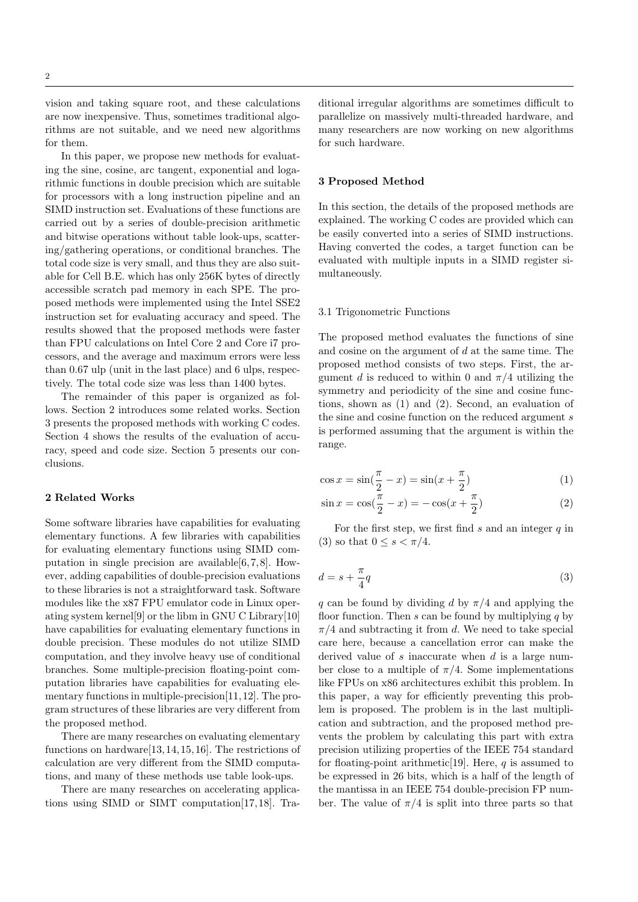vision and taking square root, and these calculations are now inexpensive. Thus, sometimes traditional algorithms are not suitable, and we need new algorithms for them.

In this paper, we propose new methods for evaluating the sine, cosine, arc tangent, exponential and logarithmic functions in double precision which are suitable for processors with a long instruction pipeline and an SIMD instruction set. Evaluations of these functions are carried out by a series of double-precision arithmetic and bitwise operations without table look-ups, scattering/gathering operations, or conditional branches. The total code size is very small, and thus they are also suitable for Cell B.E. which has only 256K bytes of directly accessible scratch pad memory in each SPE. The proposed methods were implemented using the Intel SSE2 instruction set for evaluating accuracy and speed. The results showed that the proposed methods were faster than FPU calculations on Intel Core 2 and Core i7 processors, and the average and maximum errors were less than 0.67 ulp (unit in the last place) and 6 ulps, respectively. The total code size was less than 1400 bytes.

The remainder of this paper is organized as follows. Section 2 introduces some related works. Section 3 presents the proposed methods with working C codes. Section 4 shows the results of the evaluation of accuracy, speed and code size. Section 5 presents our conclusions.

## **2 Rela[te](#page-5-0)d Works**

Some software libraries have capabilities for evaluating elementary functions. A few libraries with capabilities for evaluating elementary functions using SIMD computation in single precision are available[6,7,8]. However, adding capabilities of double-precision evaluations to these libraries is not a straightforward task. Software modules like the x87 FPU emulator code in Linux operating system kernel[9] or the libm in GNU [C](#page-7-4) [Li](#page-7-5)[br](#page-7-6)ary[10] have capabilities for evaluating elementary functions in double precision. These modules do not utilize SIMD computation, and they involve heavy use of conditional branches. Some m[ult](#page-7-7)iple-precision floating-point c[om](#page-7-8)putation libraries have capabilities for evaluating elementary functions in multiple-precision[11,12]. The program structures of these libraries are very different from the proposed method.

There are many researches on evaluating elementary functions on hardware[13,14,15,16]. T[he r](#page-7-9)[est](#page-7-10)rictions of calculation are very different from the SIMD computations, and many of these methods use table look-ups.

There are many researches on accelerating applications using SIMD or [SI](#page-7-11)[MT](#page-7-12) [co](#page-7-13)[mp](#page-7-14)utation[17,18]. Traditional irregular algorithms are sometimes difficult to parallelize on massively multi-threaded hardware, and many researchers are now working on new algorithms for such hardware.

# **3 Proposed Method**

In this section, the details of the proposed methods are explained. The working C codes are provided which can be easily converted into a series of SIMD instructions. Having converted the codes, a target function can be evaluated with multiple inputs in a SIMD register simultaneously.

## 3.1 Trigonometric Functions

The proposed method evaluates the functions of sine and cosine on the argument of *d* at the same time. The proposed method consists of two steps. First, the argument *d* is reduced to within 0 and  $\pi/4$  utilizing the symmetry and periodicity of the sine and cosine functions, shown as (1) and (2). Second, an evaluation of the sine and cosine function on the reduced argument *s* is performed assuming that the argument is within the range.

$$
\cos x = \sin(\frac{\pi}{2} - x) = \sin(x + \frac{\pi}{2})
$$
\n(1)

$$
\sin x = \cos(\frac{\pi}{2} - x) = -\cos(x + \frac{\pi}{2})
$$
\n(2)

For the first step, we first find *s* and an integer *q* in (3) so that  $0 \le s < \pi/4$ .

$$
d = s + \frac{\pi}{4}q \tag{3}
$$

<span id="page-1-0"></span>*[q](#page-1-0)* can be found by dividing *d* by *π/*4 and applying the floor function. Then *s* can be found by multiplying *q* by *π/*4 and subtracting it from *d*. We need to take special care here, because a cancellation error can make the derived value of *s* inaccurate when *d* is a large number close to a multiple of  $\pi/4$ . Some implementations like FPUs on x86 architectures exhibit this problem. In this paper, a way for efficiently preventing this problem is proposed. The problem is in the last multiplication and subtraction, and the proposed method prevents the problem by calculating this part with extra precision utilizing properties of the IEEE 754 standard for floating-point arithmetic[19]. Here, *q* is assumed to be expressed in 26 bits, which is a half of the length of the mantissa in an IEEE 754 double-precision FP number. The value of  $\pi/4$  is split into three parts so that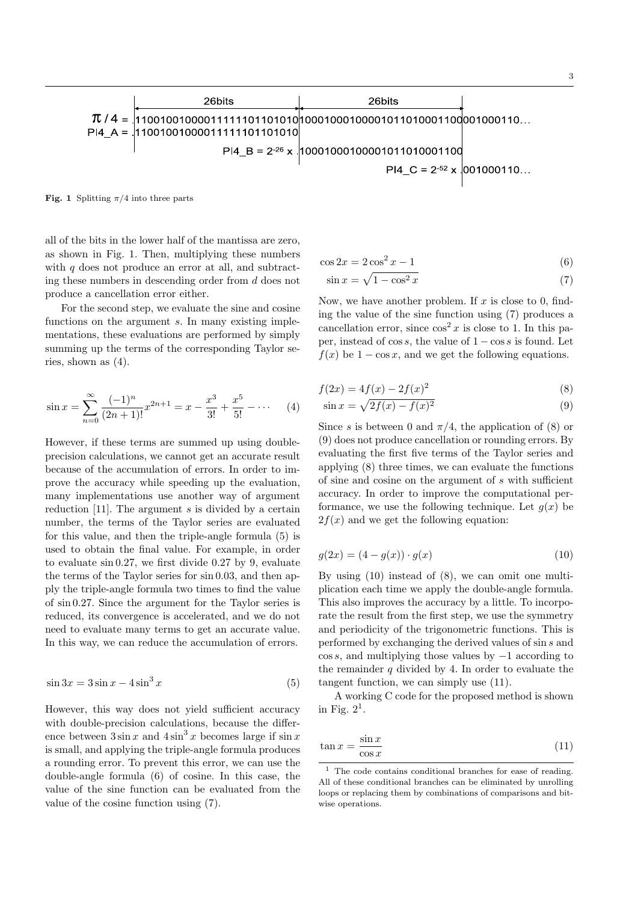**Fig. 1** Splitting  $\pi/4$  into three parts

<span id="page-2-0"></span>all of the bits in the lower half of the mantissa are zero, as shown in Fig. 1. Then, multiplying these numbers with *q* does not produce an error at all, and subtracting these numbers in descending order from *d* does not produce a cancellation error either.

For the second [s](#page-2-0)tep, we evaluate the sine and cosine functions on the argument *s*. In many existing implementations, these evaluations are performed by simply summing up the terms of the corresponding Taylor series, shown as (4).

$$
\sin x = \sum_{n=0}^{\infty} \frac{(-1)^n}{(2n+1)!} x^{2n+1} = x - \frac{x^3}{3!} + \frac{x^5}{5!} - \dotsb \tag{4}
$$

<span id="page-2-1"></span>However, if these terms are summed up using doubleprecision calculations, we cannot get an accurate result because of the accumulation of errors. In order to improve the accuracy while speeding up the evaluation, many implementations use another way of argument reduction [11]. The argument *s* is divided by a certain number, the terms of the Taylor series are evaluated for this value, and then the triple-angle formula (5) is used to obtain the final value. For example, in order to evaluat[e si](#page-7-9)n 0*.*27, we first divide 0.27 by 9, evaluate the terms of the Taylor series for sin 0*.*03, and then apply the triple-angle formula two times to find the [va](#page-2-2)lue of sin 0*.*27. Since the argument for the Taylor series is reduced, its convergence is accelerated, and we do not need to evaluate many terms to get an accurate value. In this way, we can reduce the accumulation of errors.

$$
\sin 3x = 3\sin x - 4\sin^3 x \tag{5}
$$

<span id="page-2-2"></span>However, this way does not yield sufficient accuracy with double-precision calculations, because the difference between  $3 \sin x$  and  $4 \sin^3 x$  becomes large if  $\sin x$ is small, and applying the triple-angle formula produces a rounding error. To prevent this error, we can use the double-angle formula (6) of cosine. In this case, the value of the sine function can be evaluated from the value of the cosine function using (7).

$$
\cos 2x = 2\cos^2 x - 1\tag{6}
$$

$$
\sin x = \sqrt{1 - \cos^2 x} \tag{7}
$$

Now, we have another problem. If *x* is close to 0, finding the value of the sine function using (7) produces a cancellation error, since  $\cos^2 x$  is close to 1. In this paper, instead of cos *s*, the value of 1 *−* cos *s* is found. Let  $f(x)$  be  $1 - \cos x$ , and we get the following equations.

$$
f(2x) = 4f(x) - 2f(x)^2
$$
 (8)

$$
\sin x = \sqrt{2f(x) - f(x)^2} \tag{9}
$$

<span id="page-2-3"></span>Since *s* is between 0 and  $\pi/4$ , the application of (8) or (9) does not produce cancellation or rounding errors. By evaluating the first five terms of the Taylor series and applying (8) three times, we can evaluate the functions of sine and cosine on the argument of *s* with su[ffici](#page-2-3)ent [ac](#page-2-3)curacy. In order to improve the computational performance, we use the following technique. Let  $g(x)$  be  $2f(x)$  and [w](#page-2-3)e get the following equation:

$$
g(2x) = (4 - g(x)) \cdot g(x)
$$
 (10)

<span id="page-2-4"></span>By using (10) instead of (8), we can omit one multiplication each time we apply the double-angle formula. This also improves the accuracy by a little. To incorporate the result from the first step, we use the symmetry and period[icit](#page-2-4)y of the trig[on](#page-2-3)ometric functions. This is performed by exchanging the derived values of sin *s* and cos *s*, and multiplying those values by *−*1 according to the remainder *q* divided by 4. In order to evaluate the tangent function, we can simply use (11).

A working C code for the proposed method is shown in Fig.  $2^1$ .

$$
\tan x = \frac{\sin x}{\cos x} \tag{11}
$$

<sup>&</sup>lt;sup>1</sup> The code contains conditional branches for ease of reading. All of these conditional branches can be eliminated by unrolling loops or replacing them by combinations of comparisons and bitwise operations.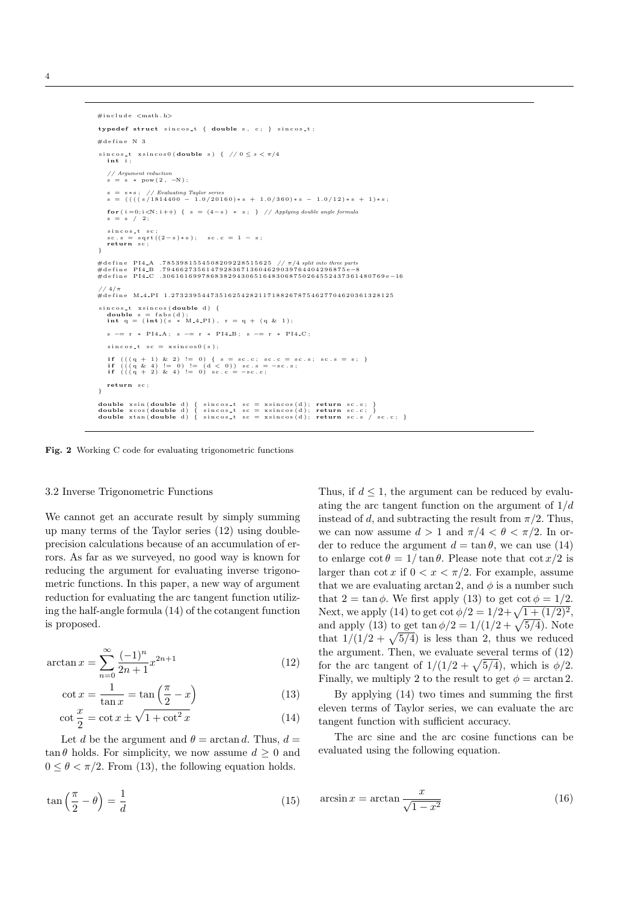```
#i n c l u d e <math . h>
\tt type def struct since t = { double s, c; } { single s.}\#define N 3
 \sin \cos t xsincos0(double s) { // 0 \leq s < \pi/4<br>int i;
    // Argument reduction<br>s = s * pow (2, −N);
    s = s ∗ s ; / / Evaluating Taylor series
s = ( ( ( ( s /1814400 − 1 . 0 / 2 0 1 6 0 ) ∗ s + 1 . 0 / 3 6 0 ) ∗ s − 1 . 0 / 1 2 ) ∗ s + 1 )∗ s ;
    for (i = 0; i < N; i++) \{ s = (4 - s) * s; \} // Applying double angle formula
      = s / 2;
    sin cos_t sc;<br>sc.s = sqrt((2-s)*s); sc.c = 1 - s;<br>return sc;
}
#define PI4_A .7853981554508209228515625 //π/4 split into three parts<br>#define PI4_B .794662735614792836713604629039764404296875e-8
#d e f i n e PI4 C . 3 0 6 1 6 1 6 9 9 7 8 6 8 3 8 2 9 4 3 0 6 5 1 6 4 8 3 0 6 8 7 5 0 2 6 4 5 5 2 4 3 7 3 6 1 4 8 0 7 6 9 e−16
// 4/π<br>#define M_4_PI 1.273239544735162542821171882678754627704620361328125
s i n c o s t x s i n c o s ( double d ) {
    double s = fabs(d);<br>int q = (int)(s * M_4_PI), r = q + (q & 1);
   s −= r ∗ PI4 A ; s −= r ∗ PI4 B ; s −= r ∗ PI4 C ;
    \text{sin} \cos t = x \sin \cos \theta (s):
     if (((q + 1) & 2) != 0) { s = sc.c; sc.c = sc.s; sc.s = s; }<br>if (((q + 2) != 0) != (d < 0) sc.s = -sc.s;<br>if (((q + 2) & 4) != 0) sc.c = -sc.c;return sc;
}
 double xsin(double d) { sincos_t sc = xsincos(d); return sc.s; }<br>double xcos(double d) { sincos_t sc = xsincos(d); return sc.c; }<br>double xtan(double d) { sincos_t sc = xsincos(d); return sc.s / sc.c; }
```
**Fig. 2** Working C code for evaluating trigonometric functions

#### 3.2 Inverse Trigonometric Functions

We cannot get an accurate result by simply summing up many terms of the Taylor series (12) using doubleprecision calculations because of an accumulation of errors. As far as we surveyed, no good way is known for reducing the argument for evaluating inverse trigonometric functions. In this paper, a ne[w w](#page-3-0)ay of argument reduction for evaluating the arc tangent function utilizing the half-angle formula (14) of the cotangent function is proposed.

$$
\arctan x = \sum_{n=0}^{\infty} \frac{(-1)^n}{2n+1} x^{2n+1}
$$
 (12)

$$
\cot x = \frac{1}{\tan x} = \tan \left(\frac{\pi}{2} - x\right) \tag{13}
$$

$$
\cot\frac{x}{2} = \cot x \pm \sqrt{1 + \cot^2 x} \tag{14}
$$

<span id="page-3-0"></span>Let *d* be the argument and  $\theta$  = arctan *d*. Thus,  $d$  =  $\tan \theta$  holds. For simplicity, we now assume  $d \geq 0$  and  $0 \leq \theta < \pi/2$ . From (13), the following equation holds.

$$
\tan\left(\frac{\pi}{2} - \theta\right) = \frac{1}{d} \tag{15}
$$

Thus, if  $d \leq 1$ , the argument can be reduced by evaluating the arc tangent function on the argument of 1*/d* instead of *d*, and subtracting the result from  $\pi/2$ . Thus, we can now assume  $d > 1$  and  $\pi/4 < \theta < \pi/2$ . In order to reduce the argument  $d = \tan \theta$ , we can use (14) to enlarge  $\cot \theta = 1/\tan \theta$ . Please note that  $\cot (x/2)$  is larger than  $\cot x$  if  $0 < x < \pi/2$ . For example, assume that we are evaluating arctan 2, and  $\phi$  is a number such that  $2 = \tan \phi$ . We first apply (13) to get  $\cot \phi = 1/2$  $\cot \phi = 1/2$  $\cot \phi = 1/2$ . Next, we apply (14) to get  $\cot \phi/2 = 1/2 + \sqrt{1 + (1/2)^2}$ , and apply (13) to get  $\tan \phi/2 = 1/(1/2 + \sqrt{5/4})$ . Note that  $1/(1/2 + \sqrt{5/4})$  is less than 2, thus we reduced the argument. Then, we evalua[te s](#page-3-0)everal terms of (12) for the arc tan[gen](#page-3-0)t of  $1/(1/2 + \sqrt{5/4})$ , which is  $\phi/2$ . Finally, we [mu](#page-3-0)ltiply 2 to the result to get  $\phi = \arctan 2$ .

By applying (14) two times and summing the first eleven terms of Taylor series, we can evaluate the [arc](#page-3-0) tangent function with sufficient accuracy.

The arc sine and the arc cosine functions can be evaluated using t[he](#page-3-0) following equation.

$$
\arcsin x = \arctan \frac{x}{\sqrt{1 - x^2}}\tag{16}
$$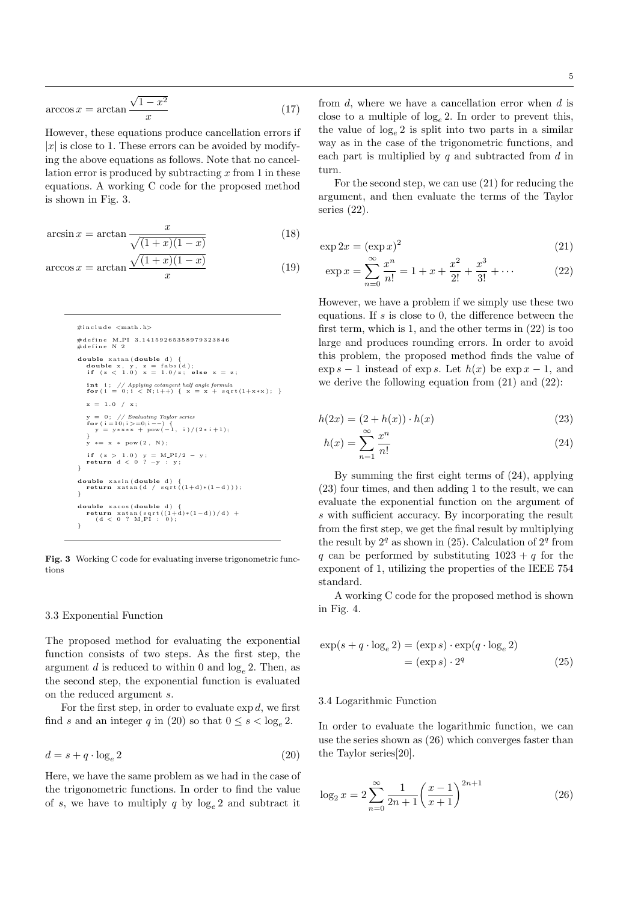$$
\arccos x = \arctan \frac{\sqrt{1 - x^2}}{x} \tag{17}
$$

However, these equations produce cancellation errors if  $|x|$  is close to 1. These errors can be avoided by modifying the above equations as follows. Note that no cancellation error is produced by subtracting *x* from 1 in these equations. A working C code for the proposed method is shown in Fig. 3.

$$
\arcsin x = \arctan \frac{x}{\sqrt{(1+x)(1-x)}}\tag{18}
$$

$$
\arccos x = \arctan \frac{\sqrt{(1+x)(1-x)}}{x} \tag{19}
$$

```
#i n c l u d e <math . h>
#define M_PI 3.14159265358979323846<br>#define N 2
double xatan (double d) {<br>
double x, y, z = fabs (d);<br>
if (z < 1.0) x = 1.0/z; else x = z;
     int i; // Applying cotangent half angle formula<br>
for ( i = 0; i < N; i++) { x = x + sqrt(1+x*x); }
    x = 1.0 / x;y = 0; // Evaluating Taylor series<br>
for ( i =10; i >=0; i −−) {<br>
y = y*x*x + pow(-1, i )/(2* i +1);<br>
}
       y ∗= x ∗ pow ( 2 , N ) ;
     i f ( z > 1 . 0 ) y = M PI/2 − y ;
return d < 0 ? −y : y ;
}
double xasin(double d) {<br>
return xatan(d / sqrt((1+d)*(1-d)));
}
double x a c o s ( double d ) {
     return xatan(sqrt((1+d)*(1-d))/d) + (d < 0 ? M_PI : 0);
}
```
**Fig. 3** Working C code for evaluating inverse trigonometric functions

#### 3.3 Exponential Function

The proposed method for evaluating the exponential function consists of two steps. As the first step, the argument *d* is reduced to within 0 and  $log_e 2$ . Then, as the second step, the exponential function is evaluated on the reduced argument *s*.

For the first step, in order to evaluate  $\exp d$ , we first find *s* and an integer *q* in (20) so that  $0 \le s < \log_e 2$ .

$$
d = s + q \cdot \log_e 2 \tag{20}
$$

<span id="page-4-0"></span>Here, we have the same pro[ble](#page-4-0)m as we had in the case of the trigonometric functions. In order to find the value of *s*, we have to multiply *q* by  $\log_e 2$  and subtract it

from *d*, where we have a cancellation error when *d* is close to a multiple of log*<sup>e</sup>* 2. In order to prevent this, the value of  $log_e 2$  is split into two parts in a similar way as in the case of the trigonometric functions, and each part is multiplied by *q* and subtracted from *d* in turn.

For the second step, we can use (21) for reducing the argument, and then evaluate the terms of the Taylor series (22).

$$
\exp 2x = (\exp x)^2 \tag{21}
$$

$$
\exp x = \sum_{n=0}^{\infty} \frac{x^n}{n!} = 1 + x + \frac{x^2}{2!} + \frac{x^3}{3!} + \dotsb \tag{22}
$$

<span id="page-4-1"></span>However, we have a problem if we simply use these two equations. If *s* is close to 0, the difference between the first term, which is 1, and the other terms in (22) is too large and produces rounding errors. In order to avoid this problem, the proposed method finds the value of  $\exp s - 1$  instead of  $\exp s$ . Let  $h(x)$  be  $\exp x - 1$ , and we derive the following equation from (21) a[nd](#page-4-1) (22):

$$
h(2x) = (2 + h(x)) \cdot h(x)
$$
 (23)

$$
h(x) = \sum_{n=1}^{\infty} \frac{x^n}{n!}
$$
 (24)

<span id="page-4-2"></span>By summing the first eight terms of (24), applying (23) four times, and then adding 1 to the result, we can evaluate the exponential function on the argument of *s* with sufficient accuracy. By incorporating the result from the first step, we get the final result [by m](#page-4-2)ultiplying [the](#page-4-2) result by  $2^q$  as shown in  $(25)$ . Calculation of  $2^q$  from *q* can be performed by substituting  $1023 + q$  for the exponent of 1, utilizing the properties of the IEEE 754 standard.

A working C code for the [pr](#page-4-3)oposed method is shown in Fig. 4.

$$
\exp(s + q \cdot \log_e 2) = (\exp s) \cdot \exp(q \cdot \log_e 2)
$$

$$
= (\exp s) \cdot 2^q \tag{25}
$$

## <span id="page-4-3"></span>3.4 Logarithmic Function

In order to evaluate the logarithmic function, we can use the series shown as (26) which converges faster than the Taylor series[20].

<span id="page-4-4"></span>
$$
\log_2 x = 2 \sum_{n=0}^{\infty} \frac{1}{2n+1} \left( \frac{x-1}{x+1} \right)^{2n+1}
$$
 (26)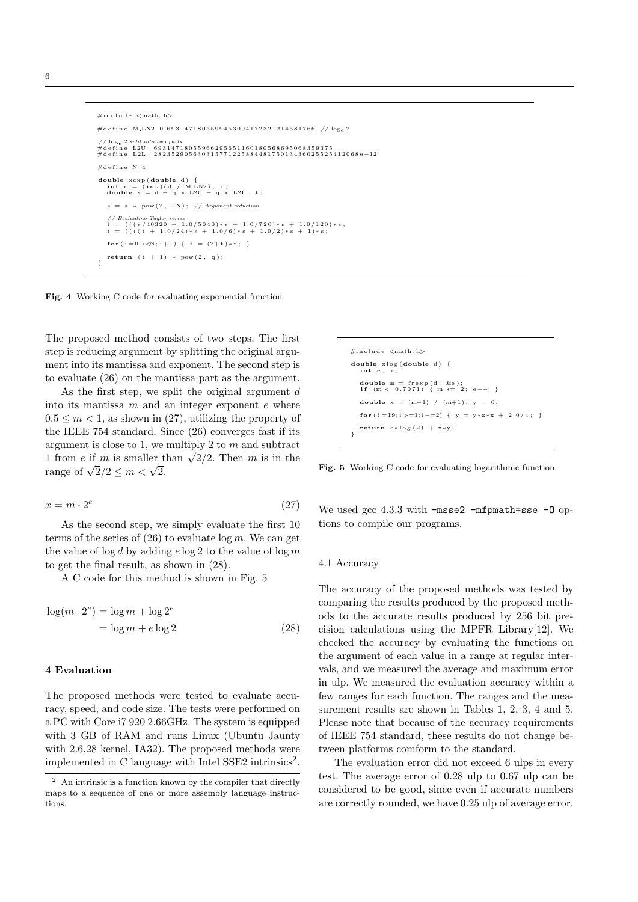```
#i n c l u d e <math . h>
#d e f i n e M LN2 0 . 6 9 3 1 4 7 1 8 0 5 5 9 9 4 5 3 0 9 4 1 7 2 3 2 1 2 1 4 5 8 1 7 6 6 / / loge 2
// log<sub>e</sub> 2 split into two parts<br>#define   L2U  .69314718055966295651160180568695068359375<br>#define   L2L  .28235290563031577122588448175013436025525412068e–12
\#define N 4
 double xexp(double d) {<br>
int q = (int)(d / M_LN2), i;<br>
double s = d − q ∗ L2U − q ∗ L2L, t;
    s = s ∗ pow ( 2 , −N ) ; / / Argument reduction
     // Evaluating Taylor series<br>t = ((((440320 + 1.0/5040)*s + 1.0/720)*s + 1.0/120)*s;<br>t = ((((4 + 1.0/24)*s + 1.0/6)*s + 1.0/2)*s + 1)*s;f \circ r ( i = 0; i < N; i++) {t = (2 + t) * t ;}return (t + 1) * pow(2, q);}
```


The proposed method consists of two steps. The first step is reducing argument by splitting the original argument into its mantissa and exponent. The second step is to evaluate (26) on the mantissa part as the argument.

As the first step, we split the original argument *d* into its mantissa *m* and an integer exponent *e* where  $0.5 \leq m < 1$ , as shown in (27), utilizing the property of the IEEE 75[4 s](#page-4-4)tandard. Since (26) converges fast if its argument is close to 1, we multiply 2 to *m* and subtract 1 from *e* if *m* is smaller than  $\sqrt{2}/2$ . Then *m* is in the  $r = 1000 \text{ J} \cdot \frac{1000 \text{ J}}{2} \cdot \frac{1000 \text{ J}}{2} \cdot \frac{1000 \text{ J}}{2} \cdot \frac{1000 \text{ J}}{2} \cdot \frac{1000 \text{ J}}{2} \cdot \frac{1000 \text{ J}}{2} \cdot \frac{1000 \text{ J}}{2} \cdot \frac{1000 \text{ J}}{2} \cdot \frac{1000 \text{ J}}{2} \cdot \frac{1000 \text{ J}}{2} \cdot \frac{1000 \text{ J}}{2} \cdot \frac{1000 \text{ J}}{2} \cdot \frac$ 

$$
x = m \cdot 2^e \tag{27}
$$

As the second step, we simply evaluate the first 10 terms of the series of (26) to evaluate log *m*. We can get the value of log *d* by adding *e* log 2 to the value of log *m* to get the final result, as shown in (28).

A C code for this method is shown in Fig. 5

$$
\log(m \cdot 2^e) = \log m + \log 2^e
$$
  
= log m + e log 2 (28)

# **4 Evaluation**

<span id="page-5-0"></span>The proposed methods were tested to evaluate accuracy, speed, and code size. The tests were performed on a PC with Core i7 920 2.66GHz. The system is equipped with 3 GB of RAM and runs Linux (Ubuntu Jaunty with 2.6.28 kernel, IA32). The proposed methods were implemented in C language with Intel SSE2 intrinsics<sup>2</sup>.

| $\#$ include $\lt$ math.h>                                            |
|-----------------------------------------------------------------------|
| $double$ xlog(double d) {<br>int e, i;                                |
| double $m = f r exp(d, ke)$ ;<br>if $(m < 0.7071)$ { m $*= 2; e--;$ } |
| double $x = (m-1) / (m+1)$ , $y = 0$ ;                                |
| for $(i=19; i>=1; i=-2)$ { $y = y*x*x + 2.0/i;$ }                     |
| return $e * log(2) + x * y$ ;                                         |

**Fig. 5** Working C code for evaluating logarithmic function

We used gcc 4.3.3 with -msse2 -mfpmath=sse -0 options to compile our programs.

#### 4.1 Accuracy

The accuracy of the proposed methods was tested by comparing the results produced by the proposed methods to the accurate results produced by 256 bit precision calculations using the MPFR Library[12]. We checked the accuracy by evaluating the functions on the argument of each value in a range at regular intervals, and we measured the average and maximum error in ulp. We measured the evaluation accuracy [wit](#page-7-10)hin a few ranges for each function. The ranges and the measurement results are shown in Tables 1, 2, 3, 4 and 5. Please note that because of the accuracy requirements of IEEE 754 standard, these results do not change between platforms comform to the standard.

The evaluation error did not excee[d](#page-6-0) [6 u](#page-6-1)[lp](#page-6-2)s [in](#page-6-3) eve[ry](#page-6-4) test. The average error of 0.28 ulp to 0.67 ulp can be considered to be good, since even if accurate numbers are correctly rounded, we have 0.25 ulp of average error.

<sup>2</sup> An intrinsic is a function known by the compiler that directly maps to a sequence of one or more assembly language instructions.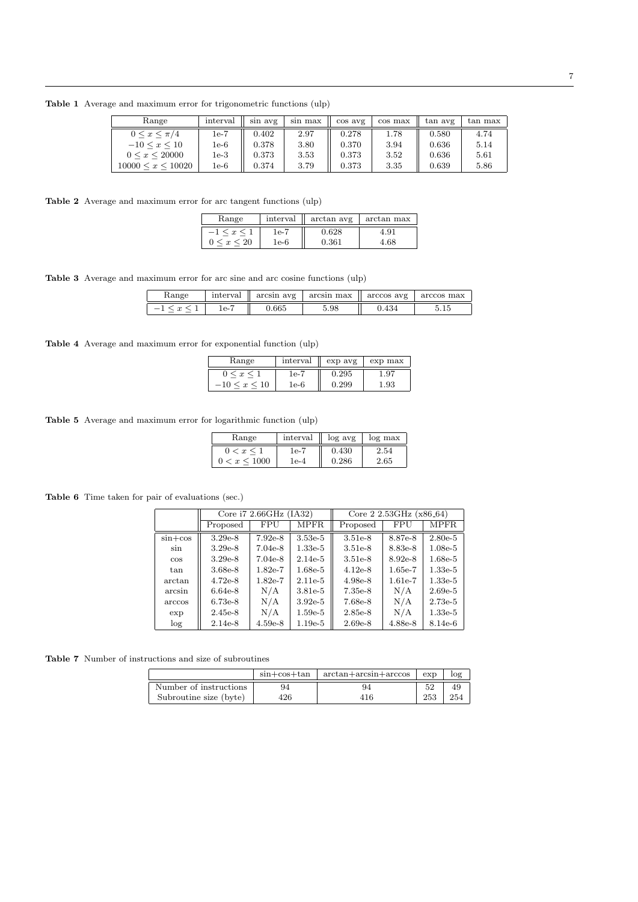**Table 1** Average and maximum error for trigonometric functions (ulp)

<span id="page-6-0"></span>

| Range                     | interval | sin avg | sin max | cos avg | cos max | tan avg | tan max |
|---------------------------|----------|---------|---------|---------|---------|---------|---------|
| $0 \leq x \leq \pi/4$     | 1e-7     | 0.402   | 2.97    | 0.278   | 1.78    | 0.580   | 4.74    |
| $-10 \leq x \leq 10$      | $1e-6$   | 0.378   | 3.80    | 0.370   | 3.94    | 0.636   | 5.14    |
| $0 \leq x \leq 20000$     | 1e-3     | 0.373   | 3.53    | 0.373   | 3.52    | 0.636   | 5.61    |
| $10000 \leq x \leq 10020$ | 1e-6     | 0.374   | 3.79    | 0.373   | 3.35    | 0.639   | 5.86    |

<span id="page-6-1"></span>**Table 2** Average and maximum error for arc tangent functions (ulp)

| Range              | interval | arctan avg | arctan max |
|--------------------|----------|------------|------------|
| $-1 \leq x \leq 1$ | 1e-7     | 0.628      | 4.91       |
| $0 \leq x \leq 20$ | 1e-6     | 0.361      | 4.68       |

<span id="page-6-2"></span>**Table 3** Average and maximum error for arc sine and arc cosine functions (ulp)

| Range  | interval |       | $arcsin$ avg   $arcsin$ max | $\parallel$ arccos avg $\parallel$ | arccos max |
|--------|----------|-------|-----------------------------|------------------------------------|------------|
| $\sim$ | 1e-1     | J.665 | 5.98                        | ).434                              | 5.IJ       |

<span id="page-6-3"></span>**Table 4** Average and maximum error for exponential function (ulp)

| Range             | interval | exp avg | exp max |
|-------------------|----------|---------|---------|
| $0 \leq x \leq 1$ | 1e-7     | 0.295   | . .97   |
| $-10 < x < 10$    | 1e-6     | 0.299   | 1.93    |

<span id="page-6-4"></span>**Table 5** Average and maximum error for logarithmic function (ulp)

| Range          | interval | log avg | log max |
|----------------|----------|---------|---------|
| $0 < x \leq 1$ | 1e-7     | 0.430   | 2.54    |
| 0 < x < 1000   | l e-4    | 0.286   | 2.65    |

**Table 6** Time taken for pair of evaluations (sec.)

|               | Core $i72.66$ GHz (IA32) |           |             | Core 2 2.53GHz $(x86.64)$ |           |             |  |
|---------------|--------------------------|-----------|-------------|---------------------------|-----------|-------------|--|
|               | Proposed                 | FPU       | <b>MPFR</b> | Proposed                  | FPU       | <b>MPFR</b> |  |
| $\sin + \cos$ | $3.29e-8$                | $7.92e-8$ | $3.53e-5$   | $3.51e-8$                 | 8.87e-8   | $2.80e-5$   |  |
| sin           | $3.29e-8$                | $7.04e-8$ | $1.33e-5$   | $3.51e-8$                 | 8.83e-8   | $1.08e-5$   |  |
| $\cos$        | $3.29e-8$                | $7.04e-8$ | $2.14e-5$   | $3.51e-8$                 | $8.92e-8$ | $1.68e-5$   |  |
| tan           | 3.68e-8                  | $1.82e-7$ | $1.68e-5$   | $4.12e-8$                 | $1.65e-7$ | $1.33e-5$   |  |
| arctan        | $4.72e-8$                | $1.82e-7$ | $2.11e-5$   | 4.98e-8                   | $1.61e-7$ | $1.33e-5$   |  |
| arcsin        | $6.64e-8$                | N/A       | $3.81e-5$   | 7.35e-8                   | N/A       | $2.69e-5$   |  |
| arccos        | $6.73e-8$                | N/A       | $3.92e-5$   | 7.68e-8                   | N/A       | $2.73e-5$   |  |
| exp           | $2.45e-8$                | N/A       | $1.59e-5$   | $2.85e-8$                 | N/A       | $1.33e-5$   |  |
| log           | $2.14e-8$                | $4.59e-8$ | $1.19e-5$   | $2.69e-8$                 | 4.88e-8   | 8.14e-6     |  |

**Table 7** Number of instructions and size of subroutines

|                        | $sin + cos + tan$ | $arctan + arcsin + arccos$ | exp | log |
|------------------------|-------------------|----------------------------|-----|-----|
| Number of instructions | 94                | 94                         | 52  | 49  |
| Subroutine size (byte) | 426               | 416                        | 253 | 254 |